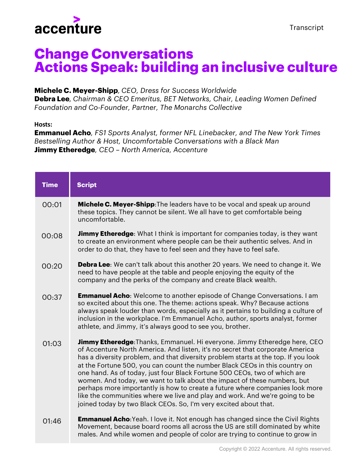

## **Change Conversations Actions Speak: building an inclusive culture**

## **Michele C. Meyer-Shipp***, CEO, Dress for Success Worldwide*

**Debra Lee***, Chairman & CEO Emeritus, BET Networks, Chair, Leading Women Defined Foundation and Co-Founder, Partner, The Monarchs Collective*

## **Hosts:**

**Emmanuel Acho***, FS1 Sports Analyst, former NFL Linebacker, and The New York Times Bestselling Author & Host, Uncomfortable Conversations with a Black Man* **Jimmy Etheredge***, CEO – North America, Accenture*

| <b>Time</b> | <b>Script</b>                                                                                                                                                                                                                                                                                                                                                                                                                                                                                                                                                                                                                                                                                                                     |
|-------------|-----------------------------------------------------------------------------------------------------------------------------------------------------------------------------------------------------------------------------------------------------------------------------------------------------------------------------------------------------------------------------------------------------------------------------------------------------------------------------------------------------------------------------------------------------------------------------------------------------------------------------------------------------------------------------------------------------------------------------------|
| 00:01       | Michele C. Meyer-Shipp: The leaders have to be vocal and speak up around<br>these topics. They cannot be silent. We all have to get comfortable being<br>uncomfortable.                                                                                                                                                                                                                                                                                                                                                                                                                                                                                                                                                           |
| 00:08       | <b>Jimmy Etheredge:</b> What I think is important for companies today, is they want<br>to create an environment where people can be their authentic selves. And in<br>order to do that, they have to feel seen and they have to feel safe.                                                                                                                                                                                                                                                                                                                                                                                                                                                                                        |
| 00:20       | <b>Debra Lee:</b> We can't talk about this another 20 years. We need to change it. We<br>need to have people at the table and people enjoying the equity of the<br>company and the perks of the company and create Black wealth.                                                                                                                                                                                                                                                                                                                                                                                                                                                                                                  |
| 00:37       | <b>Emmanuel Acho:</b> Welcome to another episode of Change Conversations. I am<br>so excited about this one. The theme: actions speak. Why? Because actions<br>always speak louder than words, especially as it pertains to building a culture of<br>inclusion in the workplace. I'm Emmanuel Acho, author, sports analyst, former<br>athlete, and Jimmy, it's always good to see you, brother.                                                                                                                                                                                                                                                                                                                                   |
| 01:03       | <b>Jimmy Etheredge:</b> Thanks, Emmanuel. Hi everyone. Jimmy Etheredge here, CEO<br>of Accenture North America. And listen, it's no secret that corporate America<br>has a diversity problem, and that diversity problem starts at the top. If you look<br>at the Fortune 500, you can count the number Black CEOs in this country on<br>one hand. As of today, just four Black Fortune 500 CEOs, two of which are<br>women. And today, we want to talk about the impact of these numbers, but<br>perhaps more importantly is how to create a future where companies look more<br>like the communities where we live and play and work. And we're going to be<br>joined today by two Black CEOs. So, I'm very excited about that. |
| 01:46       | <b>Emmanuel Acho:</b> Yeah. I love it. Not enough has changed since the Civil Rights<br>Movement, because board rooms all across the US are still dominated by white                                                                                                                                                                                                                                                                                                                                                                                                                                                                                                                                                              |

males. And while women and people of color are trying to continue to grow in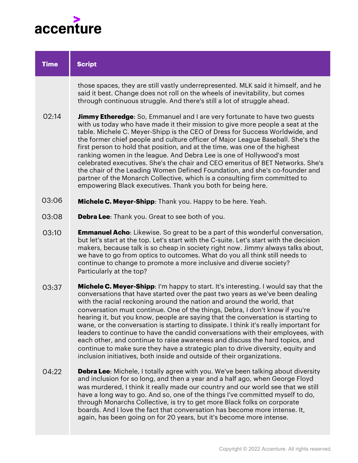

| <b>Time</b> | <b>Script</b>                                                                                                                                                                                                                                                                                                                                                                                                                                                                                                                                                                                                                                                                                                                                                                                                                              |
|-------------|--------------------------------------------------------------------------------------------------------------------------------------------------------------------------------------------------------------------------------------------------------------------------------------------------------------------------------------------------------------------------------------------------------------------------------------------------------------------------------------------------------------------------------------------------------------------------------------------------------------------------------------------------------------------------------------------------------------------------------------------------------------------------------------------------------------------------------------------|
|             | those spaces, they are still vastly underrepresented. MLK said it himself, and he<br>said it best. Change does not roll on the wheels of inevitability, but comes<br>through continuous struggle. And there's still a lot of struggle ahead.                                                                                                                                                                                                                                                                                                                                                                                                                                                                                                                                                                                               |
| 02:14       | <b>Jimmy Etheredge:</b> So, Emmanuel and I are very fortunate to have two guests<br>with us today who have made it their mission to give more people a seat at the<br>table. Michele C. Meyer-Shipp is the CEO of Dress for Success Worldwide, and<br>the former chief people and culture officer of Major League Baseball. She's the<br>first person to hold that position, and at the time, was one of the highest<br>ranking women in the league. And Debra Lee is one of Hollywood's most<br>celebrated executives. She's the chair and CEO emeritus of BET Networks. She's<br>the chair of the Leading Women Defined Foundation, and she's co-founder and<br>partner of the Monarch Collective, which is a consulting firm committed to<br>empowering Black executives. Thank you both for being here.                                |
| 03:06       | Michele C. Meyer-Shipp: Thank you. Happy to be here. Yeah.                                                                                                                                                                                                                                                                                                                                                                                                                                                                                                                                                                                                                                                                                                                                                                                 |
| 03:08       | <b>Debra Lee:</b> Thank you. Great to see both of you.                                                                                                                                                                                                                                                                                                                                                                                                                                                                                                                                                                                                                                                                                                                                                                                     |
| 03:10       | <b>Emmanuel Acho:</b> Likewise. So great to be a part of this wonderful conversation,<br>but let's start at the top. Let's start with the C-suite. Let's start with the decision<br>makers, because talk is so cheap in society right now. Jimmy always talks about,<br>we have to go from optics to outcomes. What do you all think still needs to<br>continue to change to promote a more inclusive and diverse society?<br>Particularly at the top?                                                                                                                                                                                                                                                                                                                                                                                     |
| 03:37       | Michele C. Meyer-Shipp: I'm happy to start. It's interesting. I would say that the<br>conversations that have started over the past two years as we've been dealing<br>with the racial reckoning around the nation and around the world, that<br>conversation must continue. One of the things, Debra, I don't know if you're<br>hearing it, but you know, people are saying that the conversation is starting to<br>wane, or the conversation is starting to dissipate. I think it's really important for<br>leaders to continue to have the candid conversations with their employees, with<br>each other, and continue to raise awareness and discuss the hard topics, and<br>continue to make sure they have a strategic plan to drive diversity, equity and<br>inclusion initiatives, both inside and outside of their organizations. |
| 04:22       | <b>Debra Lee:</b> Michele, I totally agree with you. We've been talking about diversity<br>and inclusion for so long, and then a year and a half ago, when George Floyd<br>was murdered, I think it really made our country and our world see that we still                                                                                                                                                                                                                                                                                                                                                                                                                                                                                                                                                                                |

have a long way to go. And so, one of the things I've committed myself to do, through Monarchs Collective, is try to get more Black folks on corporate boards. And I love the fact that conversation has become more intense. It, again, has been going on for 20 years, but it's become more intense.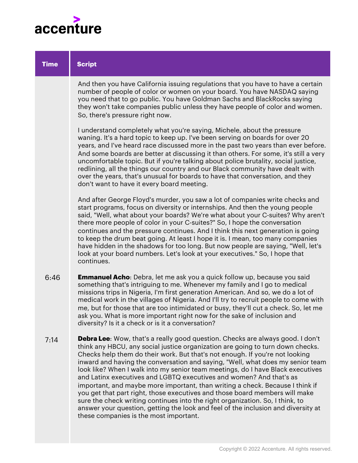

| <b>Time</b> | <b>Script</b>                                                                                                                                                                                                                                                                                                                                                                                                                                                                                                                                                                                                                                                                                                                                                                                                                                                                       |
|-------------|-------------------------------------------------------------------------------------------------------------------------------------------------------------------------------------------------------------------------------------------------------------------------------------------------------------------------------------------------------------------------------------------------------------------------------------------------------------------------------------------------------------------------------------------------------------------------------------------------------------------------------------------------------------------------------------------------------------------------------------------------------------------------------------------------------------------------------------------------------------------------------------|
|             | And then you have California issuing regulations that you have to have a certain<br>number of people of color or women on your board. You have NASDAQ saying<br>you need that to go public. You have Goldman Sachs and BlackRocks saying<br>they won't take companies public unless they have people of color and women.<br>So, there's pressure right now.                                                                                                                                                                                                                                                                                                                                                                                                                                                                                                                         |
|             | I understand completely what you're saying, Michele, about the pressure<br>waning. It's a hard topic to keep up. I've been serving on boards for over 20<br>years, and I've heard race discussed more in the past two years than ever before.<br>And some boards are better at discussing it than others. For some, it's still a very<br>uncomfortable topic. But if you're talking about police brutality, social justice,<br>redlining, all the things our country and our Black community have dealt with<br>over the years, that's unusual for boards to have that conversation, and they<br>don't want to have it every board meeting.                                                                                                                                                                                                                                         |
|             | And after George Floyd's murder, you saw a lot of companies write checks and<br>start programs, focus on diversity or internships. And then the young people<br>said, "Well, what about your boards? We're what about your C-suites? Why aren't<br>there more people of color in your C-suites?" So, I hope the conversation<br>continues and the pressure continues. And I think this next generation is going<br>to keep the drum beat going. At least I hope it is. I mean, too many companies<br>have hidden in the shadows for too long. But now people are saying, "Well, let's<br>look at your board numbers. Let's look at your executives." So, I hope that<br>continues.                                                                                                                                                                                                  |
| 6:46        | <b>Emmanuel Acho:</b> Debra, let me ask you a quick follow up, because you said<br>something that's intriguing to me. Whenever my family and I go to medical<br>missions trips in Nigeria, I'm first generation American. And so, we do a lot of<br>medical work in the villages of Nigeria. And I'll try to recruit people to come with<br>me, but for those that are too intimidated or busy, they'll cut a check. So, let me<br>ask you. What is more important right now for the sake of inclusion and<br>diversity? Is it a check or is it a conversation?                                                                                                                                                                                                                                                                                                                     |
| 7:14        | <b>Debra Lee:</b> Wow, that's a really good question. Checks are always good. I don't<br>think any HBCU, any social justice organization are going to turn down checks.<br>Checks help them do their work. But that's not enough. If you're not looking<br>inward and having the conversation and saying, "Well, what does my senior team<br>look like? When I walk into my senior team meetings, do I have Black executives<br>and Latinx executives and LGBTQ executives and women? And that's as<br>important, and maybe more important, than writing a check. Because I think if<br>you get that part right, those executives and those board members will make<br>sure the check writing continues into the right organization. So, I think, to<br>answer your question, getting the look and feel of the inclusion and diversity at<br>these companies is the most important. |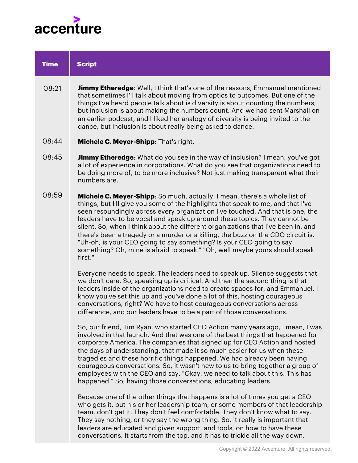

| <b>Time</b> | <b>Script</b>                                                                                                                                                                                                                                                                                                                                                                                                                                                                                                                                                                                                                                                            |
|-------------|--------------------------------------------------------------------------------------------------------------------------------------------------------------------------------------------------------------------------------------------------------------------------------------------------------------------------------------------------------------------------------------------------------------------------------------------------------------------------------------------------------------------------------------------------------------------------------------------------------------------------------------------------------------------------|
| 08:21       | Jimmy Etheredge: Well, I think that's one of the reasons, Emmanuel mentioned<br>that sometimes I'll talk about moving from optics to outcomes. But one of the<br>things I've heard people talk about is diversity is about counting the numbers,<br>but inclusion is about making the numbers count. And we had sent Marshall on<br>an earlier podcast, and I liked her analogy of diversity is being invited to the<br>dance, but inclusion is about really being asked to dance.                                                                                                                                                                                       |
| 08:44       | Michele C. Meyer-Shipp: That's right.                                                                                                                                                                                                                                                                                                                                                                                                                                                                                                                                                                                                                                    |
| 08:45       | Jimmy Etheredge: What do you see in the way of inclusion? I mean, you've got<br>a lot of experience in corporations. What do you see that organizations need to<br>be doing more of, to be more inclusive? Not just making transparent what their<br>numbers are.                                                                                                                                                                                                                                                                                                                                                                                                        |
| 08:59       | Michele C. Meyer-Shipp: So much, actually. I mean, there's a whole list of<br>things, but I'll give you some of the highlights that speak to me, and that I've<br>seen resoundingly across every organization I've touched. And that is one, the<br>leaders have to be vocal and speak up around these topics. They cannot be<br>silent. So, when I think about the different organizations that I've been in, and<br>there's been a tragedy or a murder or a killing, the buzz on the CDO circuit is,<br>"Uh-oh, is your CEO going to say something? Is your CEO going to say<br>something? Oh, mine is afraid to speak." "Oh, well maybe yours should speak<br>first." |
|             | Everyone needs to speak. The leaders need to speak up. Silence suggests that<br>we don't care. So, speaking up is critical. And then the second thing is that<br>leaders inside of the organizations need to create spaces for, and Emmanuel, I<br>know you've set this up and you've done a lot of this, hosting courageous<br>conversations, right? We have to host courageous conversations across<br>difference, and our leaders have to be a part of those conversations.                                                                                                                                                                                           |
|             | So, our friend, Tim Ryan, who started CEO Action many years ago, I mean, I was<br>involved in that launch. And that was one of the best things that happened for<br>corporate America. The companies that signed up for CEO Action and hosted<br>the days of understanding, that made it so much easier for us when these<br>tragedies and these horrific things happened. We had already been having                                                                                                                                                                                                                                                                    |

Because one of the other things that happens is a lot of times you get a CEO who gets it, but his or her leadership team, or some members of that leadership team, don't get it. They don't feel comfortable. They don't know what to say. They say nothing, or they say the wrong thing. So, it really is important that leaders are educated and given support, and tools, on how to have these conversations. It starts from the top, and it has to trickle all the way down.

courageous conversations. So, it wasn't new to us to bring together a group of employees with the CEO and say, "Okay, we need to talk about this. This has

happened." So, having those conversations, educating leaders.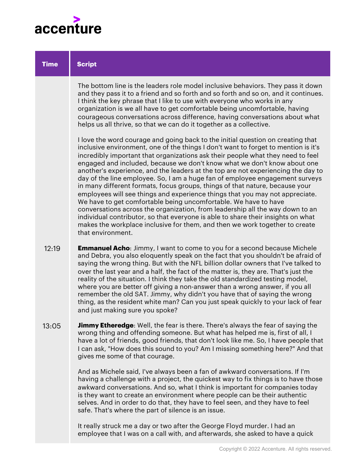

| <b>Time</b> | <b>Script</b>                                                                                                                                                                                                                                                                                                                                                                                                                                                                                                                                                                                                                                                                                                                                                                                                                                                                                                                                                                                                        |
|-------------|----------------------------------------------------------------------------------------------------------------------------------------------------------------------------------------------------------------------------------------------------------------------------------------------------------------------------------------------------------------------------------------------------------------------------------------------------------------------------------------------------------------------------------------------------------------------------------------------------------------------------------------------------------------------------------------------------------------------------------------------------------------------------------------------------------------------------------------------------------------------------------------------------------------------------------------------------------------------------------------------------------------------|
|             | The bottom line is the leaders role model inclusive behaviors. They pass it down<br>and they pass it to a friend and so forth and so forth and so on, and it continues.<br>I think the key phrase that I like to use with everyone who works in any<br>organization is we all have to get comfortable being uncomfortable, having<br>courageous conversations across difference, having conversations about what<br>helps us all thrive, so that we can do it together as a collective.                                                                                                                                                                                                                                                                                                                                                                                                                                                                                                                              |
|             | I love the word courage and going back to the initial question on creating that<br>inclusive environment, one of the things I don't want to forget to mention is it's<br>incredibly important that organizations ask their people what they need to feel<br>engaged and included, because we don't know what we don't know about one<br>another's experience, and the leaders at the top are not experiencing the day to<br>day of the line employee. So, I am a huge fan of employee engagement surveys<br>in many different formats, focus groups, things of that nature, because your<br>employees will see things and experience things that you may not appreciate.<br>We have to get comfortable being uncomfortable. We have to have<br>conversations across the organization, from leadership all the way down to an<br>individual contributor, so that everyone is able to share their insights on what<br>makes the workplace inclusive for them, and then we work together to create<br>that environment. |
| 12:19       | <b>Emmanuel Acho:</b> Jimmy, I want to come to you for a second because Michele<br>and Debra, you also eloquently speak on the fact that you shouldn't be afraid of<br>saying the wrong thing. But with the NFL billion dollar owners that I've talked to<br>over the last year and a half, the fact of the matter is, they are. That's just the<br>reality of the situation. I think they take the old standardized testing model,<br>where you are better off giving a non-answer than a wrong answer, if you all<br>remember the old SAT. Jimmy, why didn't you have that of saying the wrong<br>thing, as the resident white man? Can you just speak quickly to your lack of fear<br>and just making sure you spoke?                                                                                                                                                                                                                                                                                             |
| 13:05       | <b>Jimmy Etheredge:</b> Well, the fear is there. There's always the fear of saying the<br>wrong thing and offending someone. But what has helped me is, first of all, I<br>have a lot of friends, good friends, that don't look like me. So, I have people that<br>I can ask, "How does this sound to you? Am I missing something here?" And that<br>gives me some of that courage.                                                                                                                                                                                                                                                                                                                                                                                                                                                                                                                                                                                                                                  |
|             | And as Michele said, I've always been a fan of awkward conversations. If I'm<br>having a challenge with a project, the quickest way to fix things is to have those<br>awkward conversations. And so, what I think is important for companies today<br>is they want to create an environment where people can be their authentic                                                                                                                                                                                                                                                                                                                                                                                                                                                                                                                                                                                                                                                                                      |

It really struck me a day or two after the George Floyd murder. I had an employee that I was on a call with, and afterwards, she asked to have a quick

selves. And in order to do that, they have to feel seen, and they have to feel

safe. That's where the part of silence is an issue.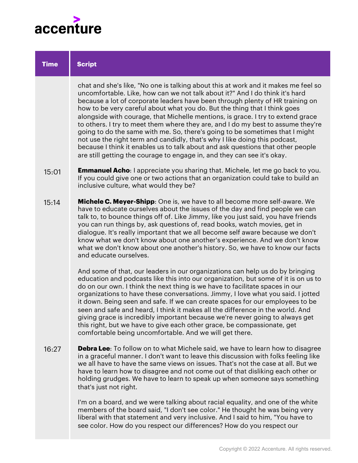

| <b>Time</b> | <b>Script</b>                                                                                                                                                                                                                                                                                                                                                                                                                                                                                                                                                                                                                                                                                                                                                                                                                       |
|-------------|-------------------------------------------------------------------------------------------------------------------------------------------------------------------------------------------------------------------------------------------------------------------------------------------------------------------------------------------------------------------------------------------------------------------------------------------------------------------------------------------------------------------------------------------------------------------------------------------------------------------------------------------------------------------------------------------------------------------------------------------------------------------------------------------------------------------------------------|
|             | chat and she's like, "No one is talking about this at work and it makes me feel so<br>uncomfortable. Like, how can we not talk about it?" And I do think it's hard<br>because a lot of corporate leaders have been through plenty of HR training on<br>how to be very careful about what you do. But the thing that I think goes<br>alongside with courage, that Michelle mentions, is grace. I try to extend grace<br>to others. I try to meet them where they are, and I do my best to assume they're<br>going to do the same with me. So, there's going to be sometimes that I might<br>not use the right term and candidly, that's why I like doing this podcast,<br>because I think it enables us to talk about and ask questions that other people<br>are still getting the courage to engage in, and they can see it's okay. |
| 15:01       | <b>Emmanuel Acho:</b> I appreciate you sharing that. Michele, let me go back to you.<br>If you could give one or two actions that an organization could take to build an<br>inclusive culture, what would they be?                                                                                                                                                                                                                                                                                                                                                                                                                                                                                                                                                                                                                  |
| 15:14       | Michele C. Meyer-Shipp: One is, we have to all become more self-aware. We<br>have to educate ourselves about the issues of the day and find people we can<br>talk to, to bounce things off of. Like Jimmy, like you just said, you have friends<br>you can run things by, ask questions of, read books, watch movies, get in<br>dialogue. It's really important that we all become self aware because we don't<br>know what we don't know about one another's experience. And we don't know<br>what we don't know about one another's history. So, we have to know our facts<br>and educate ourselves.                                                                                                                                                                                                                              |
|             | And some of that, our leaders in our organizations can help us do by bringing<br>education and podcasts like this into our organization, but some of it is on us to<br>do on our own. I think the next thing is we have to facilitate spaces in our<br>organizations to have these conversations. Jimmy, I love what you said. I jotted<br>it down. Being seen and safe. If we can create spaces for our employees to be<br>seen and safe and heard, I think it makes all the difference in the world. And<br>giving grace is incredibly important because we're never going to always get<br>this right, but we have to give each other grace, be compassionate, get<br>comfortable being uncomfortable. And we will get there.                                                                                                    |
| 16:27       | <b>Debra Lee</b> : To follow on to what Michele said, we have to learn how to disagree<br>in a graceful manner. I don't want to leave this discussion with folks feeling like<br>we all have to have the same views on issues. That's not the case at all. But we<br>have to learn how to disagree and not come out of that disliking each other or<br>holding grudges. We have to learn to speak up when someone says something<br>that's just not right.                                                                                                                                                                                                                                                                                                                                                                          |
|             | I'm on a board, and we were talking about racial equality, and one of the white                                                                                                                                                                                                                                                                                                                                                                                                                                                                                                                                                                                                                                                                                                                                                     |

members of the board said, "I don't see color." He thought he was being very liberal with that statement and very inclusive. And I said to him, "You have to see color. How do you respect our differences? How do you respect our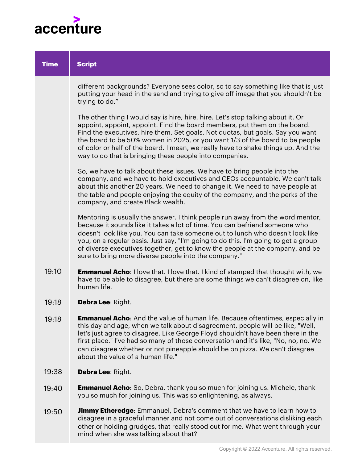

| <b>Time</b> | <b>Script</b>                                                                                                                                                                                                                                                                                                                                                                                                                                                                   |
|-------------|---------------------------------------------------------------------------------------------------------------------------------------------------------------------------------------------------------------------------------------------------------------------------------------------------------------------------------------------------------------------------------------------------------------------------------------------------------------------------------|
|             | different backgrounds? Everyone sees color, so to say something like that is just<br>putting your head in the sand and trying to give off image that you shouldn't be<br>trying to do."                                                                                                                                                                                                                                                                                         |
|             | The other thing I would say is hire, hire, hire. Let's stop talking about it. Or<br>appoint, appoint, appoint. Find the board members, put them on the board.<br>Find the executives, hire them. Set goals. Not quotas, but goals. Say you want<br>the board to be 50% women in 2025, or you want 1/3 of the board to be people<br>of color or half of the board. I mean, we really have to shake things up. And the<br>way to do that is bringing these people into companies. |
|             | So, we have to talk about these issues. We have to bring people into the<br>company, and we have to hold executives and CEOs accountable. We can't talk<br>about this another 20 years. We need to change it. We need to have people at<br>the table and people enjoying the equity of the company, and the perks of the<br>company, and create Black wealth.                                                                                                                   |
|             | Mentoring is usually the answer. I think people run away from the word mentor,<br>because it sounds like it takes a lot of time. You can befriend someone who<br>doesn't look like you. You can take someone out to lunch who doesn't look like<br>you, on a regular basis. Just say, "I'm going to do this. I'm going to get a group<br>of diverse executives together, get to know the people at the company, and be<br>sure to bring more diverse people into the company."  |
| 19:10       | <b>Emmanuel Acho:</b> I love that. I love that. I kind of stamped that thought with, we<br>have to be able to disagree, but there are some things we can't disagree on, like<br>human life.                                                                                                                                                                                                                                                                                     |
| 19:18       | Debra Lee: Right.                                                                                                                                                                                                                                                                                                                                                                                                                                                               |
| 19:18       | <b>Emmanuel Acho:</b> And the value of human life. Because oftentimes, especially in<br>this day and age, when we talk about disagreement, people will be like, "Well,<br>let's just agree to disagree. Like George Floyd shouldn't have been there in the<br>first place." I've had so many of those conversation and it's like, "No, no, no. We<br>can disagree whether or not pineapple should be on pizza. We can't disagree<br>about the value of a human life."           |
| 19:38       | Debra Lee: Right.                                                                                                                                                                                                                                                                                                                                                                                                                                                               |
| 19:40       | <b>Emmanuel Acho:</b> So, Debra, thank you so much for joining us. Michele, thank<br>you so much for joining us. This was so enlightening, as always.                                                                                                                                                                                                                                                                                                                           |

**Jimmy Etheredge**: Emmanuel, Debra's comment that we have to learn how to disagree in a graceful manner and not come out of conversations disliking each other or holding grudges, that really stood out for me. What went through your mind when she was talking about that? 19:50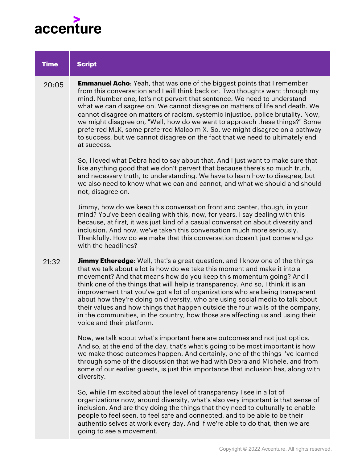

| <b>Time</b> | <b>Script</b>                                                                                                                                                                                                                                                                                                                                                                                                                                                                                                                                                                                                                                                                                   |
|-------------|-------------------------------------------------------------------------------------------------------------------------------------------------------------------------------------------------------------------------------------------------------------------------------------------------------------------------------------------------------------------------------------------------------------------------------------------------------------------------------------------------------------------------------------------------------------------------------------------------------------------------------------------------------------------------------------------------|
| 20:05       | <b>Emmanuel Acho:</b> Yeah, that was one of the biggest points that I remember<br>from this conversation and I will think back on. Two thoughts went through my<br>mind. Number one, let's not pervert that sentence. We need to understand<br>what we can disagree on. We cannot disagree on matters of life and death. We<br>cannot disagree on matters of racism, systemic injustice, police brutality. Now,<br>we might disagree on, "Well, how do we want to approach these things?" Some<br>preferred MLK, some preferred Malcolm X. So, we might disagree on a pathway<br>to success, but we cannot disagree on the fact that we need to ultimately end<br>at success.                   |
|             | So, I loved what Debra had to say about that. And I just want to make sure that<br>like anything good that we don't pervert that because there's so much truth,<br>and necessary truth, to understanding. We have to learn how to disagree, but<br>we also need to know what we can and cannot, and what we should and should<br>not, disagree on.                                                                                                                                                                                                                                                                                                                                              |
|             | Jimmy, how do we keep this conversation front and center, though, in your<br>mind? You've been dealing with this, now, for years. I say dealing with this<br>because, at first, it was just kind of a casual conversation about diversity and<br>inclusion. And now, we've taken this conversation much more seriously.<br>Thankfully. How do we make that this conversation doesn't just come and go<br>with the headlines?                                                                                                                                                                                                                                                                    |
| 21:32       | <b>Jimmy Etheredge</b> : Well, that's a great question, and I know one of the things<br>that we talk about a lot is how do we take this moment and make it into a<br>movement? And that means how do you keep this momentum going? And I<br>think one of the things that will help is transparency. And so, I think it is an<br>improvement that you've got a lot of organizations who are being transparent<br>about how they're doing on diversity, who are using social media to talk about<br>their values and how things that happen outside the four walls of the company,<br>in the communities, in the country, how those are affecting us and using their<br>voice and their platform. |
|             | Now, we talk about what's important here are outcomes and not just optics.<br>And so, at the end of the day, that's what's going to be most important is how<br>we make those outcomes happen. And certainly, one of the things I've learned<br>through some of the discussion that we had with Debra and Michele, and from<br>some of our earlier guests, is just this importance that inclusion has, along with<br>diversity.                                                                                                                                                                                                                                                                 |
|             | So, while I'm excited about the level of transparency I see in a lot of                                                                                                                                                                                                                                                                                                                                                                                                                                                                                                                                                                                                                         |

organizations now, around diversity, what's also very important is that sense of inclusion. And are they doing the things that they need to culturally to enable people to feel seen, to feel safe and connected, and to be able to be their authentic selves at work every day. And if we're able to do that, then we are going to see a movement.